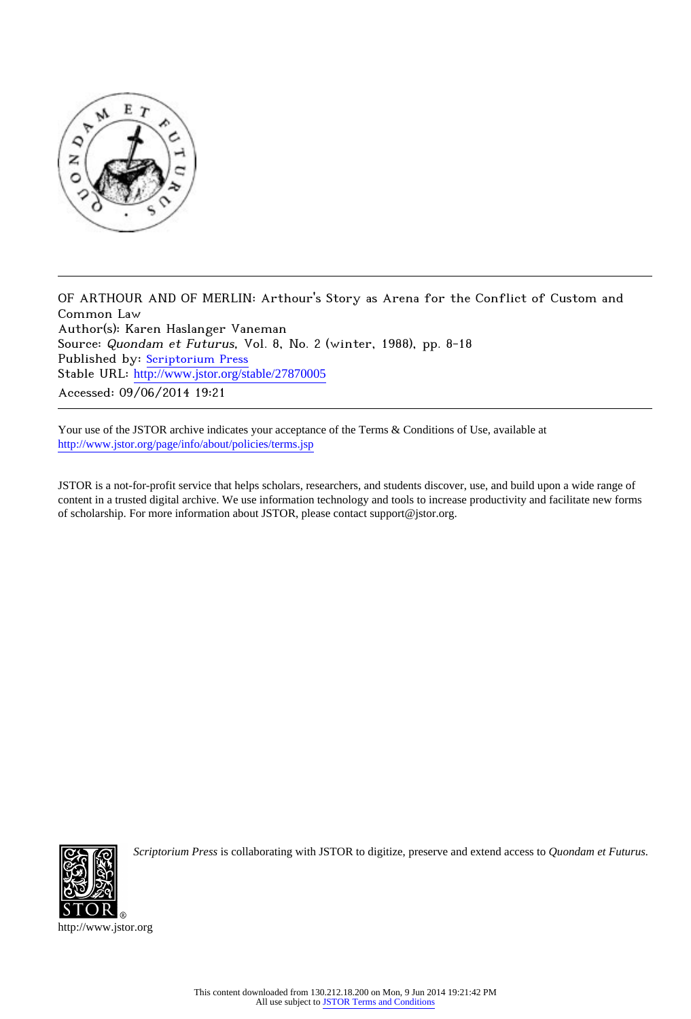

OF ARTHOUR AND OF MERLIN: Arthour's Story as Arena for the Conflict of Custom and Common Law Author(s): Karen Haslanger Vaneman Source: Quondam et Futurus, Vol. 8, No. 2 (winter, 1988), pp. 8-18 Published by: [Scriptorium Press](http://www.jstor.org/action/showPublisher?publisherCode=scriptorium) Stable URL: http://www.jstor.org/stable/27870005 Accessed: 09/06/2014 19:21

Your use of the JSTOR archive indicates your acceptance of the Terms & Conditions of Use, available at <http://www.jstor.org/page/info/about/policies/terms.jsp>

JSTOR is a not-for-profit service that helps scholars, researchers, and students discover, use, and build upon a wide range of content in a trusted digital archive. We use information technology and tools to increase productivity and facilitate new forms of scholarship. For more information about JSTOR, please contact support@jstor.org.



*Scriptorium Press* is collaborating with JSTOR to digitize, preserve and extend access to *Quondam et Futurus.*

http://www.jstor.org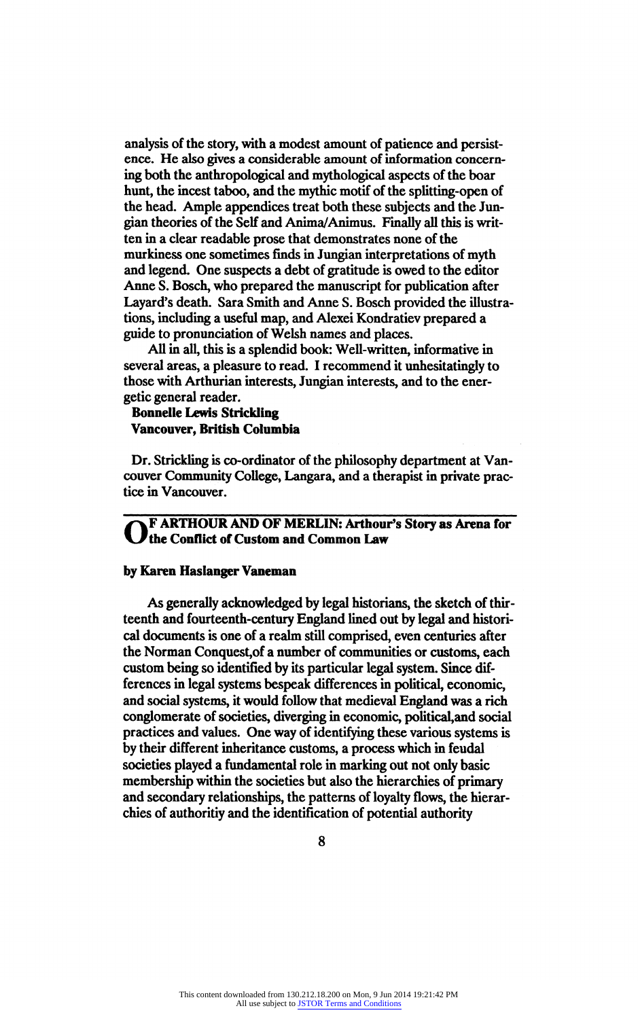analysis of the story, with a modest amount of patience and persist ence. He also gives a considerable amount of information concern ing both the anthropological and mythological aspects of the boar hunt, the incest taboo, and the mythic motif of the splitting-open of the head. Ample appendices treat both these subjects and the Junthe head. Ample appendices treat both these subjects and the Jun gian theories of the Self and Anima/Animus. Finally all this is write ten in a clear readable prose that demonstrates none of the murkiness one sometimes finds in Jungian interpretations of myth and legend. One suspects a debt of gratitude is owed to the editor Anne S. Bosch, who prepared the manuscript for publication after Layard's death. Sara Smith and Anne S. Bosch provided the illustra tions, including a useful map, and Alexei Kondratiev prepared a guide to pronunciation of Welsh names and places.<br>All in all, this is a splendid book: Well-written, informative in

All in all, this is a splendid book: Well-written, informative in several areas, a pleasure to read. I recommend it unnesitatingly to<br>those with Aethysics interests. In piece interests and to the energy those with Arthurian interests, Jungian interests, and to the ener getic general reader.

Bonnelle Lewis Strickling Vancouver, British Columbia

Dr. Strickling is co-ordinator of the philosophy department at Van couver Community College, Langara, and a therapist in private prac tice in Vancouver.

OF ARTHOUR AND OF MERLIN: Arthour's Story as Arena for the Conflict of Custom and Common Law

## by Karen Haslanger Vaneman

As generally acknowledged by legal historians, the sketch of thir teenth and fourteenth-century England lined out by legal and histori cal documents is one of a realm still comprised, even centuries after the Norman Conquest,of a number of communities or customs, each custom being so identified by its particular legal system. Since dif ferences in legal systems bespeak differences in political, economic, and social systems, it would follow that medieval England was a rich conglomerate of societies, diverging in economic, political,and social practices and values. One way of identifying these various systems is by their different inheritance customs, a process which in feudal societies played a fundamental role in marking out not only basic membership within the societies but also the hierarchies of primary and secondary relationships, the patterns of loyalty flows, the hierar chies of authoritiy and the identification of potential authority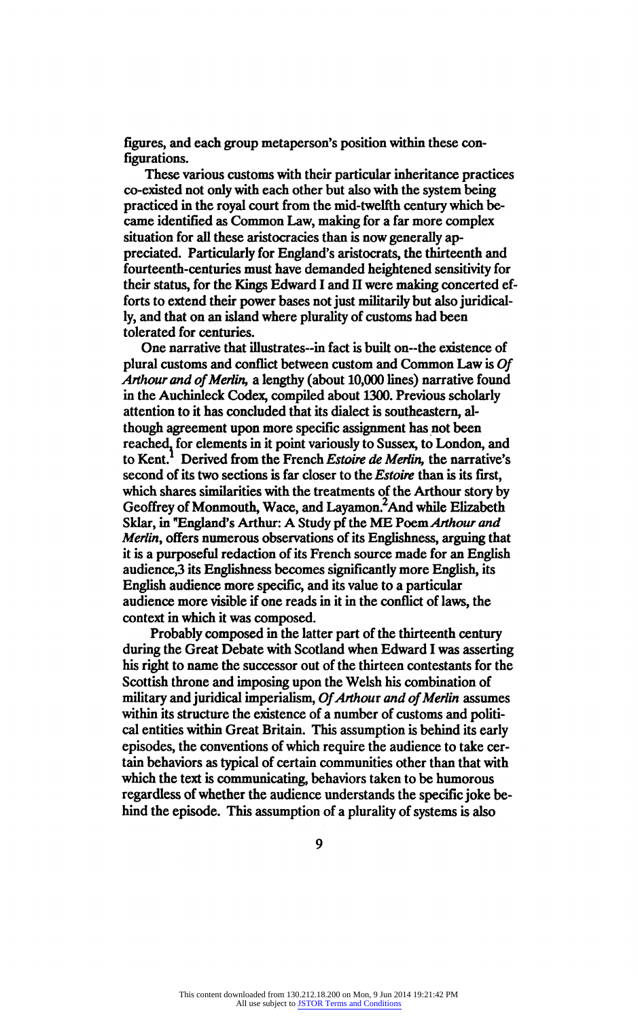figures, and each group metaperson's position within these con figurations.

These various customs with their particular inheritance practices co-existed not only with each other but also with the system being practiced in the royal court from the mid-twelfth century which be came identified as Common Law, making for a far more complex situation for all these aristocracies than is now generally ap preciated. Particularly for England's aristocrats, the thirteenth and<br>fourteenth-centuries must have demanded heightened sensitivity for fourteenth-centuries must have demanded heightened sensitivity for<br>their status, for the *Vince* Education of Herman median concerted of their status, for the Kings Edward I and II were making concerted ef-<br>fortate extend that is accessed access that will also had been ideal. forts to extend their power bases not just militarily but also juridical ly, and that on an island where plurality of customs had been tolerated for centuries.

One narrative that illustrates-in fact is built on--the existence of plural customs and conflict between custom and Common Law is Of plural customs and conflict between custom and Common Law is Of Arthour and of Merlin, a lengthy (about 10,000 lines) narrative found in the Auchinleck Codex, compiled about 1300. Previous scholarly though agreement upon more specific assignment has not been reached, for elements in it point variously to Sussex, to London, and reached, for elements in it point variously to Sussex, to London, and<br>the Kant London, from the Franch Estain de Marlin the nametime to Kent. Derived from the French Estoire de Merlin, the narrative second of its two sections is far closer to the *Estoire* than is its first, which shares similarities with the treatments of the Arthour story by Geoffrey of Monmouth, Wace, and Layamon.<sup>2</sup>And while Elizabeth Geomey of Monmouth, Wace, and Layamon. And while Enzabeth<br>Sklog in "England's Agthenet A Study of the ME Doem Agthews and Skiar, in "England's Arthur: A Study pl the ME Foem Arthour and<br>Martin, offers numerous absorptions of its Englishmese, aggring the Merlin, offers numerous observations of its Englishness, arguing that it is a purposeful redaction of its French source made for an English audience,3 its Englishness becomes significantly more English, its English audience more specific, and its value to a particular audience more visible if one reads in it in the conflict of laws, the context in which it was composed.

Probably composed in the latter part of the thirteenth century during the Great Debate with Scotland when Edward I was asserting his right to name the successor out of the thirteen contestants for the Scottish throne and imposing upon the Welsh his combination of Scottish throne and imposing upon the Welsh his combination of military and juridical imperialism,  $Of$  Arthout and  $Of$  Merlin assume within its structure the existence of a number of customs and politi cal entities within Great Britain. This assumption is behind its early episodes, the conventions of which require the audience to take cer tain behaviors as typical of certain communities other than that with which the text is communicating, behaviors taken to be humorous regardless of whether the audience understands the specific joke be hind the episode. This assumption of a plurality of systems is also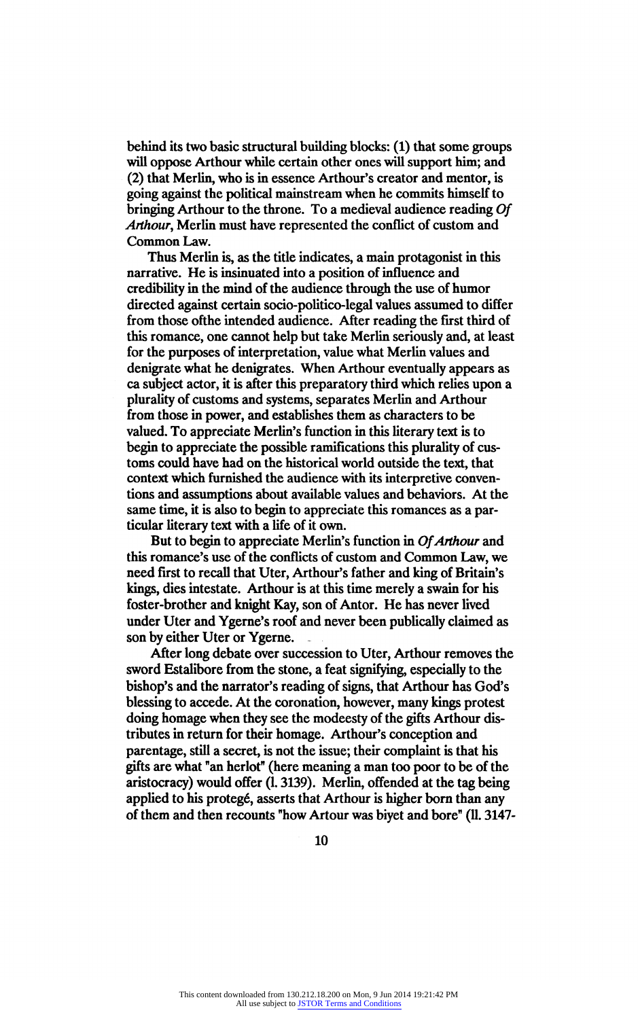behind its two basic structural building blocks: (1) that some group will oppose Arthour while certain other ones will support him; and (2) that Merlin, who is in essence Arthour's creator and mentor, is going against the political mainstream when he commits himself to bringing Arthour to the throne. To a medieval audience reading Of Arthour, Merlin must have represented the conflict of custom and Common Law.

Thus Merlin is, as the title indicates, a main protagonist in this narrative. He is insinuated into a position of influence and credibility in the mind of the audience through the use of humor directed against certain socio-politico-legal values assumed to different<br>from those of the intended on linear of free and linear the first third of from those ofthe intended audience. After reading the first third of this romance, one cannot help but take Merlin seriously and, at least for the purposes of interpretation, value what Merlin values and denigrate what he denigrates. When Arthour eventually appears as ca subject actor, it is after this preparatory third which relies upon a plurality of customs and systems, separates Merlin and Arthour from those in power, and establishes them as characters to be valued. To appreciate Merlin's function in this literary text is to begin to appreciate the possible ramifications this plurality of cus toms could have had on the historical world outside the text, that context which furnished the audience with its interpretive conven tions and assumptions about available values and behaviors. At the same time, it is also to begin to appreciate this romances as a par ticular literary text with a life of it own.

But to begin to appreciate Merlin's function in Of Arthour and this romance's use of the conflicts of custom and Common Law, we need first to recall that Uter, Arthour's father and king of Britain's kings, dies intestate. Arthour is at this time merely a swain for his foster-brother and knight Kay, son of Antor. He has never lived under Uter and Ygerne's roof and never been publically claimed as son by either Uter or Ygerne.

After long debate over succession to Uter, Arthour removes the sword Estalibore from the stone, a feat signifying, especially to the bishop's and the narrator's reading of signs, that Arthour has God's blessing to accede. At the coronation, however, many kings protest doing homage when they see the modeesty of the gifts Arthour dis tributes in return for their homage. Arthour's conception and parentage, still a secret, is not the issue; their complaint is that his gifts are what "an herlot" (here meaning a man too poor to be of the aristocracy) would offer (1.3139). Merlin, offended at the tag being applied to his protegé, asserts that Arthour is higher born than any of them and then recounts "how Artour was biyet and bore" (11.3147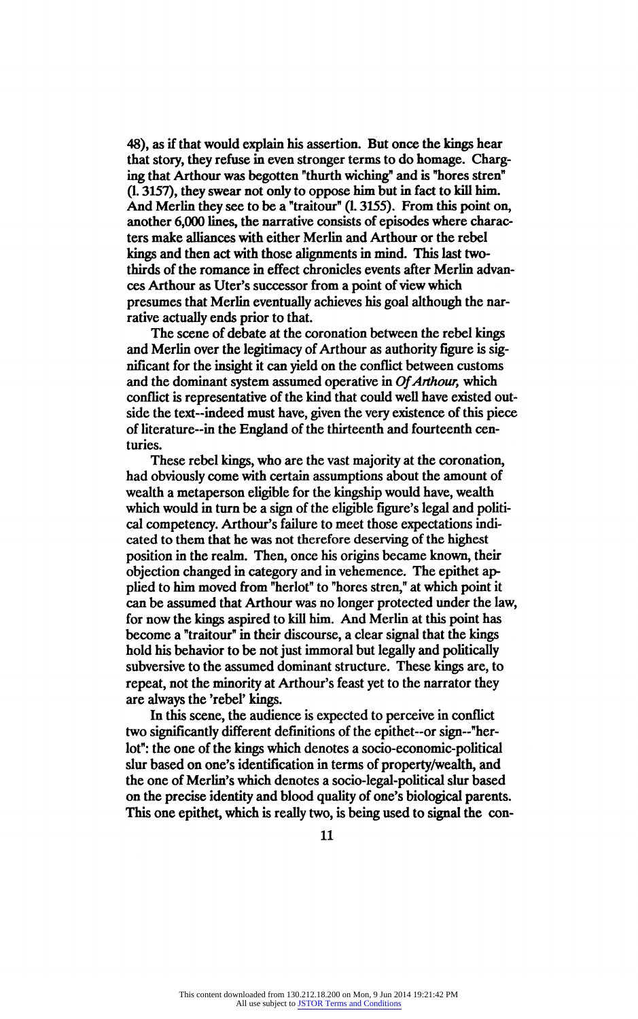48), as if that would explain his assertion. But once the kings hear that story, they refuse in even stronger terms to do homage. Charging that Arthour was begotten "thurth wiching" and is "hores stren" ing that Arthour was begotten "thurth wiching" and is "hores stren"<br>(1.2157), they suppose not only to appear him but in fact to hill him (1.3157), they swear not only to oppose him but in fact to kill him. And Merlin they see to be a "traitour" (L 3155). From this point on, another 6,000 lines, the narrative consists of episodes where charac ters make alliances with either Merlin and Arthour or the rebel kings and then act with those alignments in mind. This last two thirds of the romance in effect chronicles events after Merlin advan ces Arthour as Uter's successor from a point of view which presumes that Merlin eventually achieves his goal although the nar rative actually ends prior to that.

The scene of debate at the coronation between the rebel kings and Merlin over the legitimacy of Arthour as authority figure is sig nificant for the insight it can yield on the conflict between customs and the dominant system assumed operative in Of Arthour, which conflict is representative of the kind that could well have existed out side the text-indeed must have, given the very existence of this piece of literature-in the England of the thirteenth and fourteenth centuries.

These rebel kings, who are the vast majority at the coronation, had obviously come with certain assumptions about the amount of wealth a metaperson eligible for the kingship would have, wealth which would in turn be a sign of the eligible figure's legal and political competency. Arthour's failure to meet those expectations indi cated to them that he was not therefore deserving of the highest position in the realm. Then, once his origins became known, their objection changed in category and in vehemence. The epithet ap plied to him moved from "herlot" to "hores stren," at which point it can be assumed that Arthour was no longer protected under the law, for now the kings aspired to kill him. And Merlin at this point has become a "traitour" in their discourse, a clear signal that the kings hold his behavior to be not just immoral but legally and politically subversive to the assumed dominant structure. These kings are, to repeat, not the minority at Arthour's feast yet to the narrator they are always the 'rebel' kings.

In this scene, the audience is expected to perceive in conflict two significantly different definitions of the epithet-or sign~"her lot": the one of the kings which denotes a socio-economic-political slur based on one's identification in terms of property/wealth, and the one of Merlin's which denotes a socio-legal-political slur based on the precise identity and blood quality of one's biological parents. This one epithet, which is really two, is being used to signal the con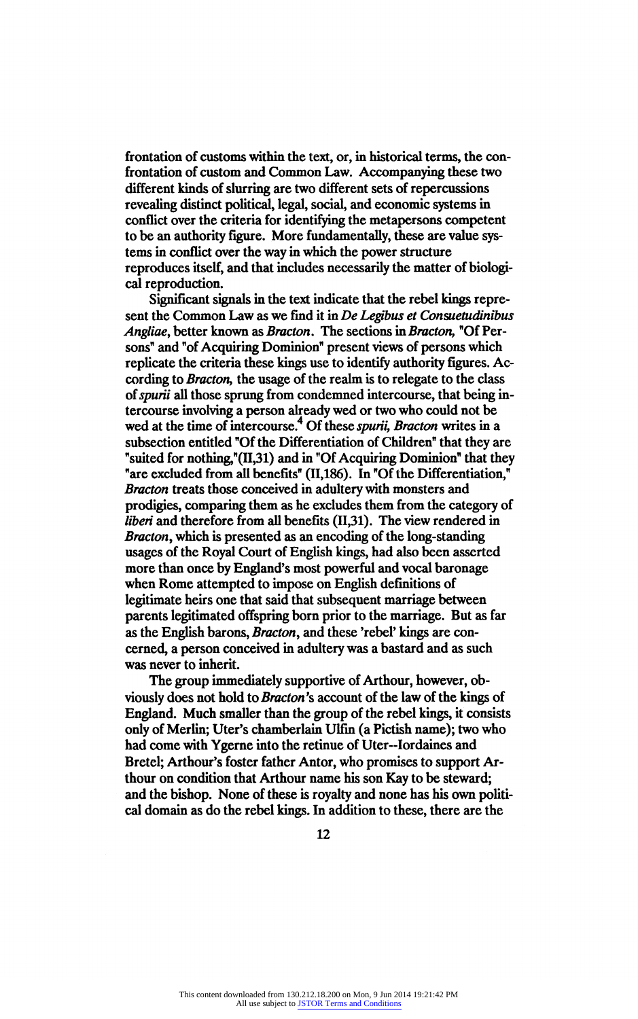frontation of customs within the text, or, in historical terms, the con frontation of custom and Common Law. Accompanying these two revealing distinct political, legal, social, and economic systems in conflict over the criteria for identifying the metapersons competent conflict over the criteria for identifying the metapersons competent<br>to be an authority forme. More fundamentally these are value ave to be an authority figure. More fundamentally, these are value systems in conflict over the way in which the power structure reproduces itself, and that includes necessarily the matter of biologi cal reproduction.<br>Significant signals in the text indicate that the rebel kings repre-

sent the Common Law as we find it in De Legibus et Consuetudinibus sent the Common Law as we find it in De Legibus et Consuetudintor<br> $\mathcal{L}_{\text{tot}}$  is the latter has reason to Partiau in Denotion in Denotion in Of Dem Angliae, better known as Bracton. The sections in Bracton, "Of Persons" and "of Acquiring Dominion" present views of persons which replicate the criteria these kings use to identify authority figures. A cording to *Bracton*, the usage of the realm is to relegate to the class of *spurii* all those sprung from condemned intercourse, that being inof spurii all those sprung from condemned intercourse, that being in tercourse involving a person already wed or two who could not be  $\frac{1}{2}$ wed at the time of intercourse.<sup>4</sup> Of these *spurii*, Bracton writes in a subsection entitled "Of the Differentiation of Children" that they are "suited for nothing,"(II,31) and in "Of Acquiring Dominion" that they "are excluded from all benefits" (II,186). In "Of the Differentiation," are excluded from all benefits" (11,186). In "Of the Differentiation," Bracton treats those conceived in adultery with monsters and prodigies, comparing them as he excludes them from the category of liberi and therefore from all benefits (II,31). The view rendered in Bracton, which is presented as an encoding of the long-standing usages of the Royal Court of English kings, had also been asserted more than once by England's most powerful and vocal baronage when Rome attempted to impose on English definitions of legitimate heirs one that said that subsequent marriage between parents legitimated offspring born prior to the marriage. But as far as the English barons, Bracton, and these 'rebel' kings are concerned, a person conceived in adultery was a bastard and as such was never to inherit.

The group immediately supportive of Arthour, however, obviously does not hold to *Bracton's* account of the law of the kings of viously does not hold to *bracton*'s account of the law of the kings of England. Much smaller than the group of the rebel kings, it consists only of Merlin; Uter's chamberlain Ulfin (a Pictish name); two who had come with Ygerne into the retinue of Uter-Iordaines and Bretel; Arthour's foster father Antor, who promises to support Ar thour on condition that Arthour name his son Kay to be steward; and the bishop. None of these is royalty and none has his own politi cal domain as do the rebel kings. In addition to these, there are the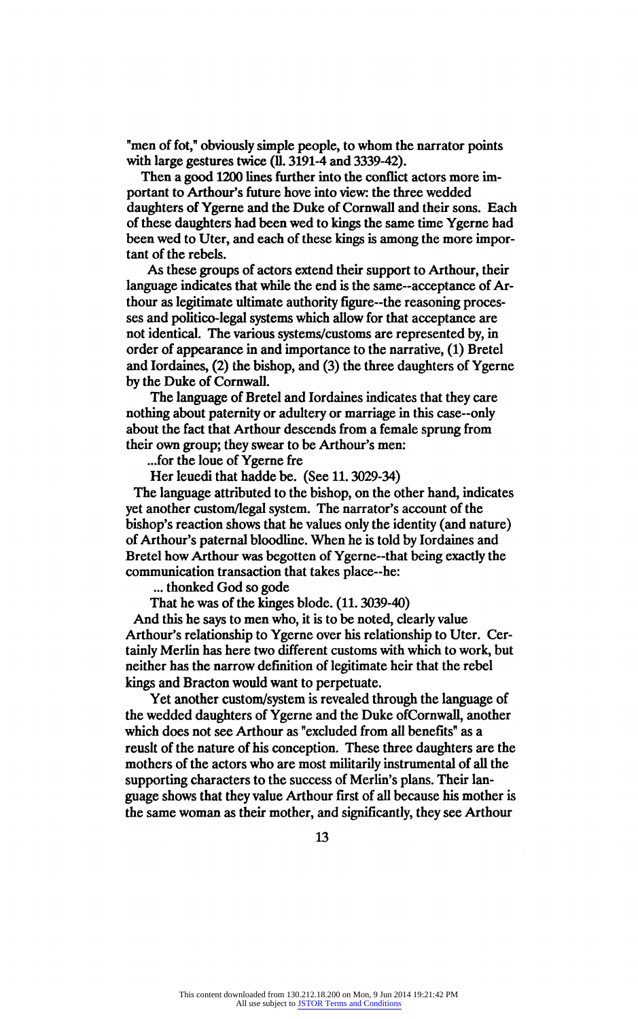"men of fot," obviously simple people, to whom the narrator points with large gestures twice (11.3191-4 and 3339-42).

Then a good 1200 lines further into the conflict actors more im portant to Arthour's future hove into view: the three wedded daughters of Ygerne and the Duke of Cornwall and their sons. Each of these daughters had been wed to kings the same time Ygerne had been wed to Uter, and each of these kings is among the more impor tant of the rebels.

As these groups of actors extend their support to Arthour, their language indicates that while the end is the same-acceptance of Ar thour as legitimate ultimate authority figure-the reasoning proces ses and politico-legal systems which allow for that acceptance are not identical. The various systems/customs are represented by, in not identical. The various systems/customs are represented by, in order or appearance in and importance to the narrative, (1) brete and Iordaines, (2) the bishop, and (3) the three daughters of Ygerne by the Duke of Cornwall.

The language of Bretel and Iordaines indicates that they care nothing about paternity or adultery or marriage in this case-only about the fact that Arthour descends from a female sprung from their own group; they swear to be Arthour's men:

...for the loue of Ygerne fre

Her leuedi that hadde be. (See 11. 3029-34)

The language attributed to the bishop, on the other hand, indicates yet another custom/legal system. The narrator's account of the bishop's reaction shows that he values only the identity (and nature) of Arthour's paternal bloodline. When he is told by Iordaines and Bretel how Arthour was begotten of Ygerne--that being exactly the communication transaction that takes place-he:

... thonked God so gode

That he was of the kinges blode. (11.3039-40)

And this he says to men who, it is to be noted, clearly value Arthour's relationship to Ygerne over his relationship to Uter. Cer tainly Merlin has here two different customs with which to work, but neither has the narrow definition of legitimate heir that the rebel kings and Bracton would want to perpetuate.<br>Yet another custom/system is revealed through the language of

Yet another custom/system is revealed through the language of the wedded daughters of Ygerne and the Duke ofCornwall, another which does not see Arthour as "excluded from all benefits" as a reuslt of the nature of his conception. These three daughters are the mothers of the actors who are most militarily instrumental of all the supporting characters to the success of Merlin's plans. Their lan guage shows that they value Arthour first of all because his mother is the same woman as their mother, and significantly, they see Arthour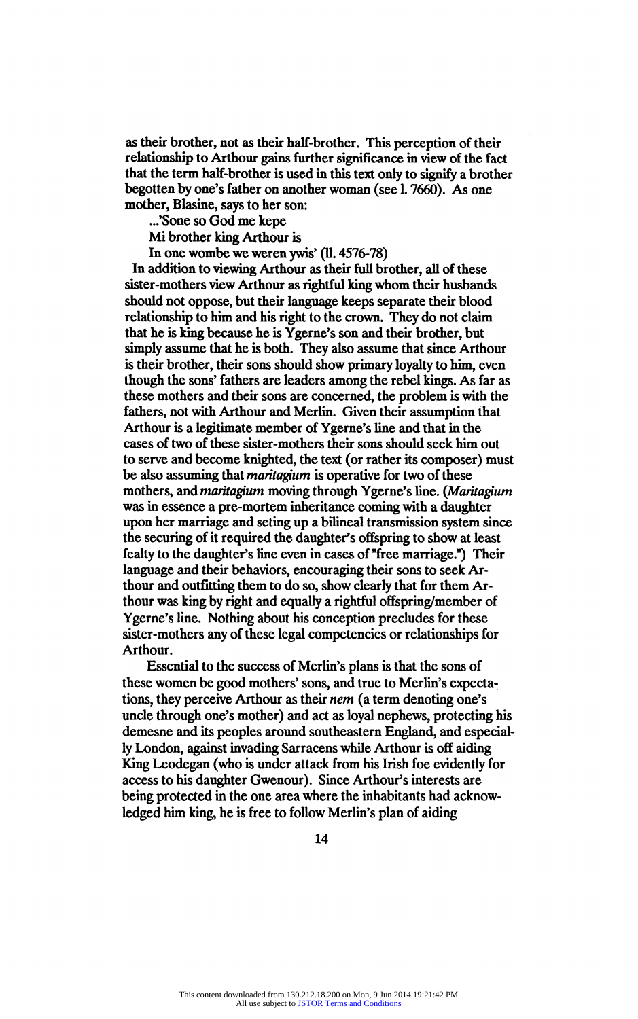as their brother, not as their half-brother. This perception of their<br>relationship to Arthour gains further significance in view of the fact relationship to Arthour gains further significance in view of the fact<br>that the taun half has the is used in this taut as hate significant has the that the term half-brother is used in this text only to signify a brother begotten by one's father on another woman (see 1.7660). As one mother, Blasine, says to her son:

...'Sone so God me kepe<br>Mi brother king Arthour is

Mi brother king Arthour is<br>In one wombe we weren you

In one wombe we weren ywis'  $(II. 4576 - 78)$ 

In addition to viewing Arthour as their full brother, all of these sister-mothers view Arthour as rightful king whom their husbands should not oppose, but their language keeps separate their blood relationship to him and his right to the crown. They do not claim that he is king because he is Ygerne's son and their brother, but simply assume that he is both. They also assume that since Arthour is their brother, their sons should show primary loyalty to him, even though the sons' fathers are leaders among the rebel kings. As far as these mothers and their sons are concerned, the problem is with the fathers, not with Arthour and Merlin. Given their assumption that Arthour is a legitimate member of Ygerne's line and that in the cases of two of these sister-mothers their sons should seek him out to serve and become knighted, the text (or rather its composer) must be also assuming that *maritagium* is operative for two of these mothers, and maritagium moving through Ygerne's line. (Maritagium was in essence a pre-mortem inheritance coming with a daughter upon her marriage and seting up a bilineal transmission system since the securing of it required the daughter's offspring to show at least fealty to the daughter's line even in cases of "free marriage.") Their language and their behaviors, encouraging their sons to seek Ar thour and outfitting them to do so, show clearly that for them Ar thour was king by right and equally a rightful offspring/member of Ygerne's line. Nothing about his conception precludes for these sister-mothers any of these legal competencies or relationships for Arthour.

Essential to the success of Merlin's plans is that the sons of these women be good mothers' sons, and true to Merlin's expecta tions, they perceive Arthour as their nem (a term denoting one's uncle through one's mother) and act as loyal nephews, protecting his demesne and its peoples around southeastern England, and especial ly London, against invading Sarracens while Arthour is off aiding King Leodegan (who is under attack from his Irish foe evidently for access to his daughter Gwenour). Since Arthour's interests are being protected in the one area where the inhabitants had acknow ledged him king, he is free to follow Merlin's plan of aiding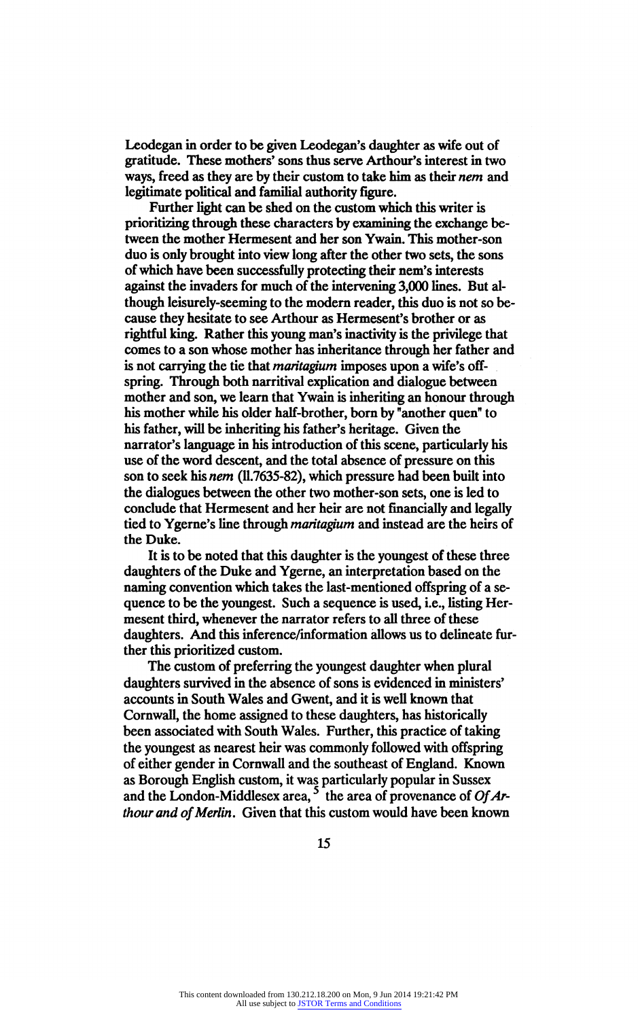Leodegan in order to be given Leodegan's daughter as wife out of gratitude. These mothers' sons thus serve Arthour's interest in two ways, freed as they are by their custom to take him as their *nem* and legitimate political and familial authority figure.

Further light can be shed on the custom which this writer is prioritizing through these characters by examining the exchange beprioritizing through these characters by examining the exchange be tween the mother Hermesent and her son Ywain. This mother-son duo is only brought into view long after the other two sets, the sons of which have been successfully protecting their nem's interests against the invaders for much of the intervening 3,000 lines. But al though leisurely-seeming to the modern reader, this duo is not so be cause they hesitate to see Arthour as Hermesent's brother or as rightful king. Rather this young man's inactivity is the privilege that comes to a son whose mother has inheritance through her father and is not carrying the tie that *maritagium* imposes upon a wife's offspring. Through both narritival explication and dialogue between mother and son, we learn that Ywain is inheriting an honour through his mother while his older half-brother, born by "another quen" to his father, will be inheriting his father's heritage. Given the narrator's language in his introduction of this scene, particularly his use of the word descent, and the total absence of pressure on this son to seek his nem (ll.7635-82), which pressure had been built into the dialogues between the other two mother-son sets, one is led to conclude that Hermesent and her heir are not financially and legally tied to Ygerne's line through *maritagium* and instead are the heirs of the Duke.

It is to be noted that this daughter is the youngest of these three daughters of the Duke and Ygerne, an interpretation based on the naming convention which takes the last-mentioned offspring of a se quence to be the youngest. Such a sequence is used, i.e., listing Her mesent third, whenever the narrator refers to all three of these daughters. And this inference/information allows us to delineate fur ther this prioritized custom.

The custom of preferring the youngest daughter when plural daughters survived in the absence of sons is evidenced in ministers' accounts in South Wales and Gwent, and it is well known that Cornwall, the home assigned to these daughters, has historically been associated with South Wales. Further, this practice of taking the youngest as nearest heir was commonly followed with offspring<br>of either gender in Cornwall and the southeast of England. Known of either gender in Cornwall and the southeast of England. Known as Borough English custom, it was particularly popular in Sussex  $\frac{1}{2}$ and the London-Middlesex area, the area of provenance of  $\mathcal{O}f\mathcal{A}$ thour and of Merlin. Given that this custom would have been known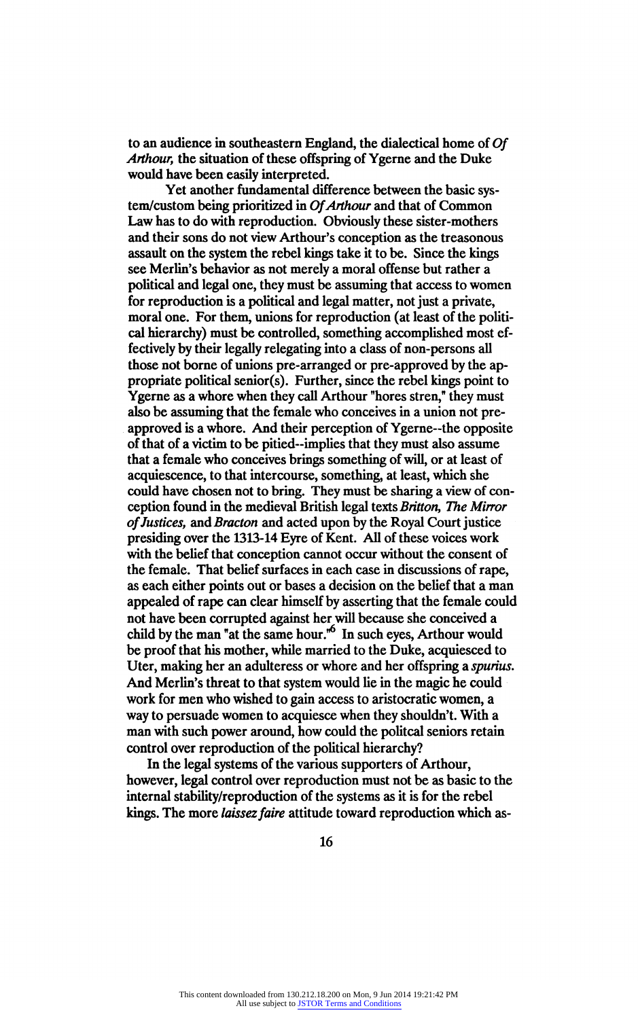to an audience in southeastern England, the dialectical home of Of Arthour, the situation of these offspring of Ygerne and the Duke would have been easily interpreted.<br>Yet another fundamental difference between the basic sys-

tem/custom being prioritized in Of Arthour and that of Common Law has to do with reproduction. Obviously these sister-mothers Law has to do with reproduction. Obviously these sister-mothers and their sons do not view Arthour's conception as the treasonous assault on the system the rebel kings take it to be. Since the kings see Merlin's behavior as not merely a moral offense but rather and  $\frac{1}{2}$ political and legal one, they must be assuming that access to women for reproduction is a political and legal matter, not just a private, moral one. For them, unions for reproduction (at least of the politi cal hierarchy) must be controlled, something accomplished most ef fectively by their legally relegating into a class of non-persons all propriate political senior(s). Further, since the rebel kings point to propriate political senior(s). Further, since the rebel kings point to Ygerne as a whore when they call Arthour "hores stren," they must also be assuming that the female who conceives in a union not pre approved is a whore. And their perception of Ygerne-the opposite of that of a victim to be pitied-implies that they must also assume that a female who conceives brings something of will, or at least of acquiescence, to that intercourse, something, at least, which she acquiescence, to that intercourse, something, at least, which she could have chosen not to bring. They must be sharing a view of conception found in the medieval British legal texts Britton, The Mirror of Justices, and Bracton and acted upon by the Royal Court justice presiding over the 1313-14 Eyre of Kent. All of these voices work with the belief that conception cannot occur without the consent of the female. That belief surfaces in each case in discussions of rape, as each either points out or bases a decision on the belief that a man appealed of rape can clear himself by asserting that the female could appealed of rape can clear himself by asserting that the female could not have been corrupted against her will because she conceived a<br>have her will be come in the conce here is the speed and conceived child by the man "at the same hour." In such eyes, Arthour would be proof that his mother, while married to the Duke, acquiesced to Uter, making her an adulteress or whore and her offspring a spurius. And Merlin's threat to that system would lie in the magic he could work for men who wished to gain access to aristocratic women, a way to persuade women to acquiesce when they shouldn't. With a man with such power around, how could the politcal seniors retain control over reproduction of the political hierarchy?

In the legal systems of the various supporters of Arthour, however, legal control over reproduction must not be as basic to the internal stability/reproduction of the systems as it is for the rebel kings. The more laissez faire attitude toward reproduction which as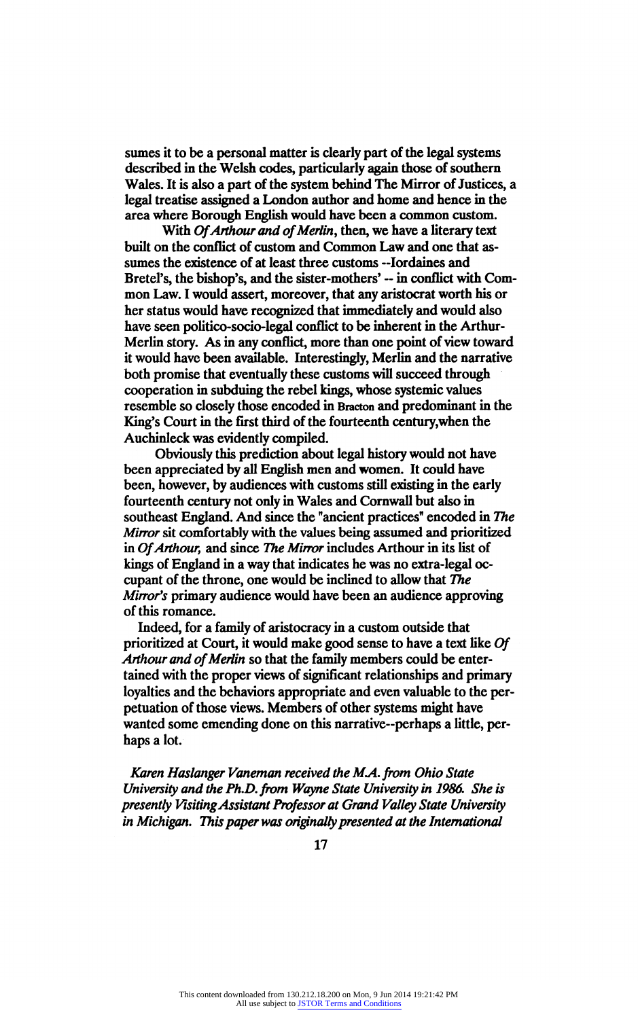sumes it to be a personal matter is clearly part of the legal systems described in the Welsh codes, particularly again those of southern Wales. It is also a part of the system behind The Mirror of Justices, a legal treatise assigned a London author and home and hence in the legal treatise assigned a London author and home and hence in the area where Borough English would have been a common custom.

With Of Arthour and of Merlin, then, we have a literary text built on the conflict of custom and Common Law and one that as sumes the existence of at least three customs ~Iordaines and Bretel's, the bishop's, and the sister-mothers' - in conflict with Com mon Law. I would assert, moreover, that any aristocrat worth his or her status would have recognized that immediately and would also her status would have recognized that immediately and would also have seen politico-socio-legal conflict to be inherent in the Arthur Merlin story. As in any conflict, more than one point of view toward it would have been available. Interestingly, Merlin and the narrative cooperation in subduing the rebel kings, whose systemic values cooperation in subduing the rebel kings, whose systemic value resemble so closely those encoded in Bracton and predominant in the<br>Kingle Count in the first third of the fourteenth continuumber the King's Court in the first third of the fourteenth century,when the Auchinleck was evidently compiled.

Obviously this prediction about legal history would not have been appreciated by all English men and women. It could have been, however, by audiences with customs still existing in the early fourteenth century not only in Wales and Cornwall but also in fourteenth century not only in Wales and Cornwall but also in southeast England. And since the "ancient practices" encoded in The Mirror sit comfortably with the values being assumed and prioritized in Of Arthour, and since The Mirror includes Arthour in its list of kings of England in a way that indicates he was no extra-legal oc cupant of the throne, one would be inclined to allow that The Mirror's primary audience would have been an audience approving of this romance.

Indeed, for a family of aristocracy in a custom outside that prioritized at Court, it would make good sense to have a text like Of Arthour and of Merlin so that the family members could be entertained with the proper views of significant relationships and primary loyalties and the behaviors appropriate and even valuable to the per petuation of those views. Members of other systems might have wanted some emending done on this narrative-perhaps a little, per haps a lot.

Karen Haslanger Vaneman received the MA. from Ohio State University and the Ph.D. from Wayne State University in 1986. She is presently Visiting Assistant Professor at Grand Valley State University in Michigan. This paper was originally presented at the International